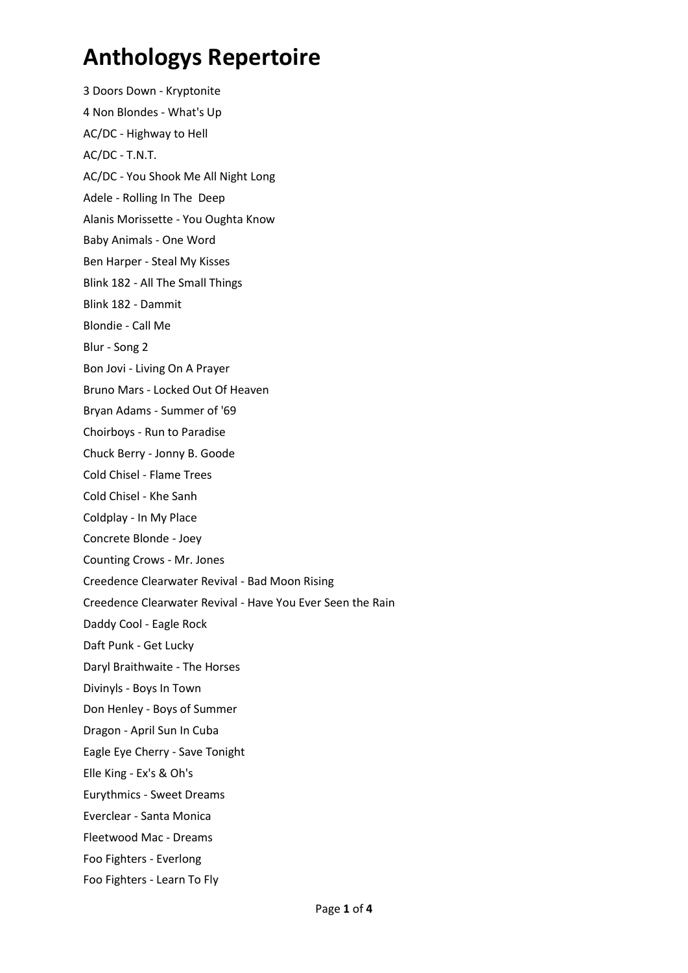3 Doors Down - Kryptonite 4 Non Blondes - What's Up AC/DC - Highway to Hell AC/DC - T.N.T. AC/DC - You Shook Me All Night Long Adele - Rolling In The Deep Alanis Morissette - You Oughta Know Baby Animals - One Word Ben Harper - Steal My Kisses Blink 182 - All The Small Things Blink 182 - Dammit Blondie - Call Me Blur - Song 2 Bon Jovi - Living On A Prayer Bruno Mars - Locked Out Of Heaven Bryan Adams - Summer of '69 Choirboys - Run to Paradise Chuck Berry - Jonny B. Goode Cold Chisel - Flame Trees Cold Chisel - Khe Sanh Coldplay - In My Place Concrete Blonde - Joey Counting Crows - Mr. Jones Creedence Clearwater Revival - Bad Moon Rising Creedence Clearwater Revival - Have You Ever Seen the Rain Daddy Cool - Eagle Rock Daft Punk - Get Lucky Daryl Braithwaite - The Horses Divinyls - Boys In Town Don Henley - Boys of Summer Dragon - April Sun In Cuba Eagle Eye Cherry - Save Tonight Elle King - Ex's & Oh's Eurythmics - Sweet Dreams Everclear - Santa Monica Fleetwood Mac - Dreams Foo Fighters - Everlong Foo Fighters - Learn To Fly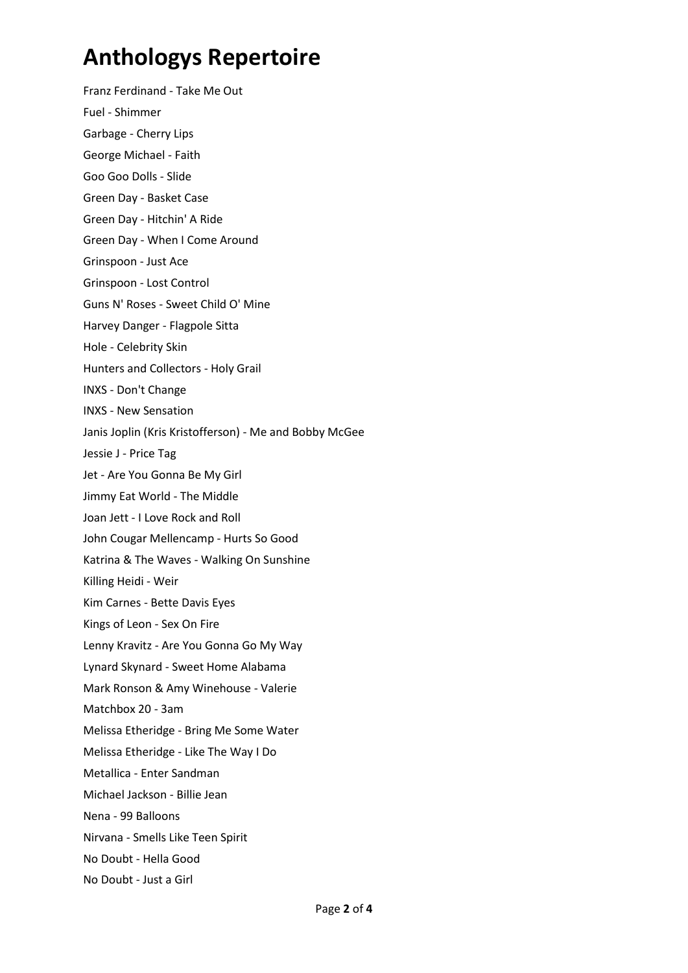Franz Ferdinand - Take Me Out Fuel - Shimmer Garbage - Cherry Lips George Michael - Faith Goo Goo Dolls - Slide Green Day - Basket Case Green Day - Hitchin' A Ride Green Day - When I Come Around Grinspoon - Just Ace Grinspoon - Lost Control Guns N' Roses - Sweet Child O' Mine Harvey Danger - Flagpole Sitta Hole - Celebrity Skin Hunters and Collectors - Holy Grail INXS - Don't Change INXS - New Sensation Janis Joplin (Kris Kristofferson) - Me and Bobby McGee Jessie J - Price Tag Jet - Are You Gonna Be My Girl Jimmy Eat World - The Middle Joan Jett - I Love Rock and Roll John Cougar Mellencamp - Hurts So Good Katrina & The Waves - Walking On Sunshine Killing Heidi - Weir Kim Carnes - Bette Davis Eyes Kings of Leon - Sex On Fire Lenny Kravitz - Are You Gonna Go My Way Lynard Skynard - Sweet Home Alabama Mark Ronson & Amy Winehouse - Valerie Matchbox 20 - 3am Melissa Etheridge - Bring Me Some Water Melissa Etheridge - Like The Way I Do Metallica - Enter Sandman Michael Jackson - Billie Jean Nena - 99 Balloons Nirvana - Smells Like Teen Spirit No Doubt - Hella Good No Doubt - Just a Girl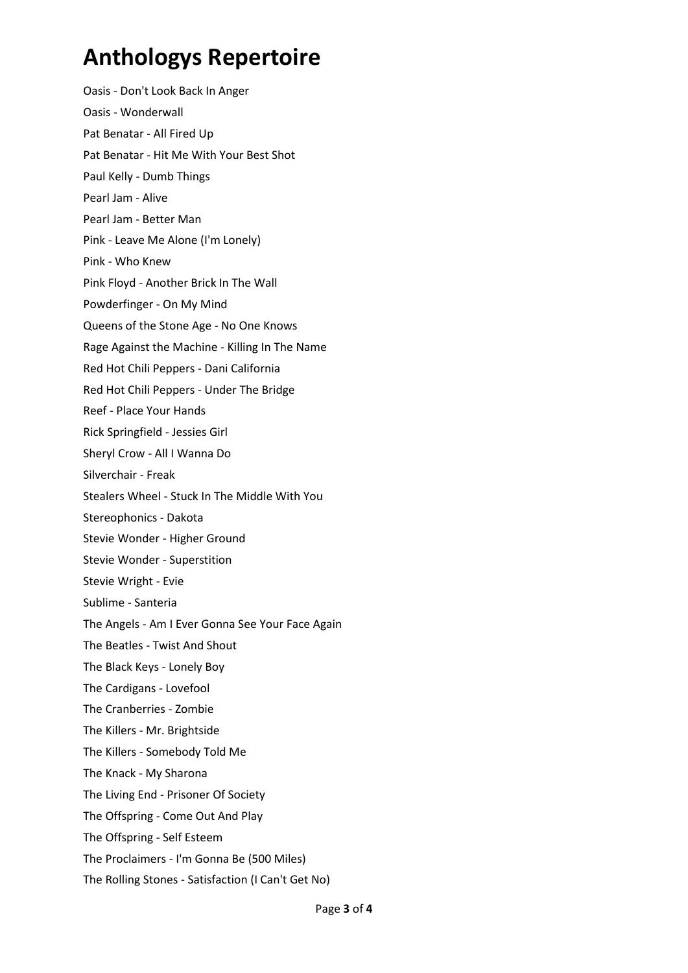Oasis - Don't Look Back In Anger Oasis - Wonderwall Pat Benatar - All Fired Up Pat Benatar - Hit Me With Your Best Shot Paul Kelly - Dumb Things Pearl Jam - Alive Pearl Jam - Better Man Pink - Leave Me Alone (I'm Lonely) Pink - Who Knew Pink Floyd - Another Brick In The Wall Powderfinger - On My Mind Queens of the Stone Age - No One Knows Rage Against the Machine - Killing In The Name Red Hot Chili Peppers - Dani California Red Hot Chili Peppers - Under The Bridge Reef - Place Your Hands Rick Springfield - Jessies Girl Sheryl Crow - All I Wanna Do Silverchair - Freak Stealers Wheel - Stuck In The Middle With You Stereophonics - Dakota Stevie Wonder - Higher Ground Stevie Wonder - Superstition Stevie Wright - Evie Sublime - Santeria The Angels - Am I Ever Gonna See Your Face Again The Beatles - Twist And Shout The Black Keys - Lonely Boy The Cardigans - Lovefool The Cranberries - Zombie The Killers - Mr. Brightside The Killers - Somebody Told Me The Knack - My Sharona The Living End - Prisoner Of Society The Offspring - Come Out And Play The Offspring - Self Esteem The Proclaimers - I'm Gonna Be (500 Miles)